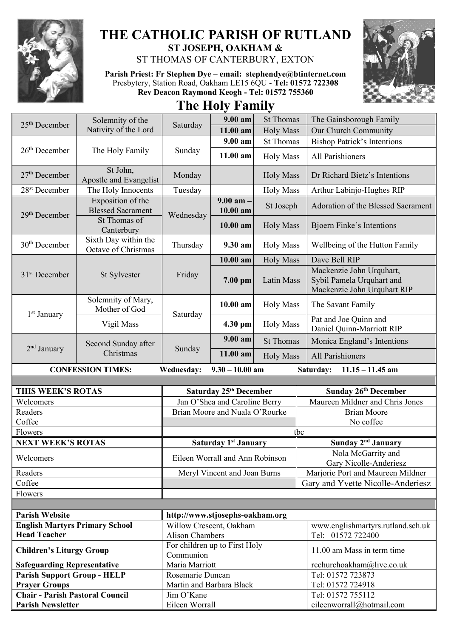

## **THE CATHOLIC PARISH OF RUTLAND ST JOSEPH, OAKHAM &**  ST THOMAS OF CANTERBURY, EXTON

**Parish Priest: Fr Stephen Dye** – **[email: stephendye@btinternet.com](mailto:email:%20%20stephendye@btinternet.com)** Presbytery, Station Road, Oakham LE15 6QU - **Tel: 01572 722308 Rev Deacon Raymond Keogh - Tel: 01572 755360**



**The Holy Family**

|                                                                    | Solemnity of the<br>Nativity of the Lord      | Saturday                                   | 9.00 am                         | <b>St Thomas</b> | The Gainsborough Family                                                              |
|--------------------------------------------------------------------|-----------------------------------------------|--------------------------------------------|---------------------------------|------------------|--------------------------------------------------------------------------------------|
| $25th$ December                                                    |                                               |                                            | 11.00 am                        | <b>Holy Mass</b> | Our Church Community                                                                 |
|                                                                    | The Holy Family                               | Sunday                                     | 9.00 am                         | <b>St Thomas</b> | <b>Bishop Patrick's Intentions</b>                                                   |
| $26th$ December                                                    |                                               |                                            | 11.00 am                        | <b>Holy Mass</b> | All Parishioners                                                                     |
| $27th$ December                                                    | St John,<br>Apostle and Evangelist            | Monday                                     |                                 | <b>Holy Mass</b> | Dr Richard Bietz's Intentions                                                        |
| 28 <sup>st</sup> December                                          | The Holy Innocents                            | Tuesday                                    |                                 | <b>Holy Mass</b> | Arthur Labinjo-Hughes RIP                                                            |
| 29 <sup>th</sup> December                                          | Exposition of the<br><b>Blessed Sacrament</b> | Wednesday                                  | $9.00$ am $-$<br>10.00 am       | St Joseph        | Adoration of the Blessed Sacrament                                                   |
|                                                                    | St Thomas of<br>Canterbury                    |                                            | $10.00$ am                      | <b>Holy Mass</b> | <b>Bjoern Finke's Intentions</b>                                                     |
| $30th$ December                                                    | Sixth Day within the<br>Octave of Christmas   | Thursday                                   | 9.30 am                         | <b>Holy Mass</b> | Wellbeing of the Hutton Family                                                       |
|                                                                    |                                               | Friday                                     | 10.00 am                        | <b>Holy Mass</b> | Dave Bell RIP                                                                        |
| 31 <sup>st</sup> December                                          | St Sylvester                                  |                                            | 7.00 pm                         | Latin Mass       | Mackenzie John Urquhart,<br>Sybil Pamela Urquhart and<br>Mackenzie John Urquhart RIP |
| 1 <sup>st</sup> January                                            | Solemnity of Mary,<br>Mother of God           | Saturday                                   | 10.00 am                        | <b>Holy Mass</b> | The Savant Family                                                                    |
|                                                                    | Vigil Mass                                    |                                            | 4.30 pm                         | <b>Holy Mass</b> | Pat and Joe Quinn and<br>Daniel Quinn-Marriott RIP                                   |
|                                                                    | Second Sunday after<br>Christmas              | Sunday                                     | $9.00 a$ m                      | <b>St Thomas</b> | Monica England's Intentions                                                          |
| 2 <sup>nd</sup> January                                            |                                               |                                            | 11.00 am                        | <b>Holy Mass</b> | <b>All Parishioners</b>                                                              |
|                                                                    |                                               |                                            |                                 |                  |                                                                                      |
|                                                                    | <b>CONFESSION TIMES:</b>                      | Wednesday:                                 | $9.30 - 10.00$ am               |                  | Saturday:<br>$11.15 - 11.45$ am                                                      |
|                                                                    |                                               |                                            |                                 |                  |                                                                                      |
| THIS WEEK'S ROTAS                                                  |                                               |                                            | Saturday 25th December          |                  | <b>Sunday 26th December</b>                                                          |
| Welcomers                                                          |                                               |                                            | Jan O'Shea and Caroline Berry   |                  | Maureen Mildner and Chris Jones                                                      |
| Readers                                                            |                                               |                                            | Brian Moore and Nuala O'Rourke  |                  | <b>Brian Moore</b>                                                                   |
| Coffee                                                             |                                               |                                            |                                 |                  | No coffee                                                                            |
| Flowers                                                            |                                               |                                            |                                 |                  | tbc                                                                                  |
| <b>NEXT WEEK'S ROTAS</b>                                           |                                               |                                            | <b>Saturday 1st January</b>     |                  | Sunday 2 <sup>nd</sup> January                                                       |
| Welcomers                                                          |                                               |                                            | Eileen Worrall and Ann Robinson |                  | Nola McGarrity and<br>Gary Nicolle-Anderiesz                                         |
| Readers                                                            |                                               |                                            | Meryl Vincent and Joan Burns    |                  | Marjorie Port and Maureen Mildner                                                    |
| Coffee                                                             |                                               |                                            |                                 |                  | Gary and Yvette Nicolle-Anderiesz                                                    |
| Flowers                                                            |                                               |                                            |                                 |                  |                                                                                      |
|                                                                    |                                               |                                            |                                 |                  |                                                                                      |
| <b>Parish Website</b>                                              |                                               | http://www.stjosephs-oakham.org            |                                 |                  |                                                                                      |
| <b>English Martyrs Primary School</b>                              |                                               | Willow Crescent, Oakham                    |                                 |                  | www.englishmartyrs.rutland.sch.uk                                                    |
| <b>Head Teacher</b>                                                |                                               | <b>Alison Chambers</b>                     |                                 |                  | Tel: 01572 722400                                                                    |
| <b>Children's Liturgy Group</b>                                    |                                               | For children up to First Holy<br>Communion |                                 |                  | 11.00 am Mass in term time                                                           |
| <b>Safeguarding Representative</b>                                 |                                               | Maria Marriott                             |                                 |                  | rcchurchoakham@live.co.uk                                                            |
| <b>Parish Support Group - HELP</b>                                 |                                               | Rosemarie Duncan                           |                                 |                  | Tel: 01572 723873                                                                    |
| <b>Prayer Groups</b>                                               |                                               | Martin and Barbara Black                   |                                 |                  | Tel: 01572 724918                                                                    |
| <b>Chair - Parish Pastoral Council</b><br><b>Parish Newsletter</b> |                                               | Jim O'Kane<br>Eileen Worrall               |                                 |                  | Tel: 01572 755112<br>eileenworrall@hotmail.com                                       |